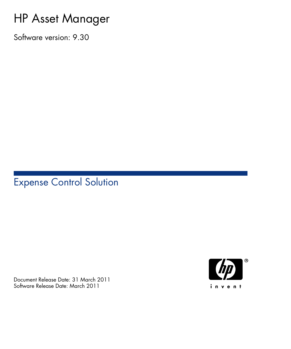## HP Asset Manager

Software version: 9.30

## Expense Control Solution

Document Release Date: 31 March 2011 Software Release Date: March 2011

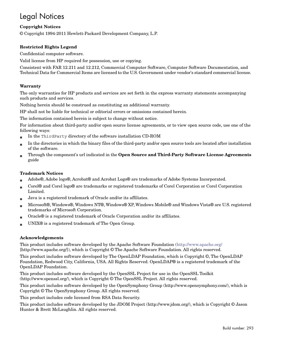## Legal Notices

#### **Copyright Notices**

© Copyright 1994-2011 Hewlett-Packard Development Company, L.P.

#### **Restricted Rights Legend**

Confidential computer software.

Valid license from HP required for possession, use or copying.

Consistent with FAR 12.211 and 12.212, Commercial Computer Software, Computer Software Documentation, and Technical Data for Commercial Items are licensed to the U.S. Government under vendor's standard commercial license.

#### **Warranty**

The only warranties for HP products and services are set forth in the express warranty statements accompanying such products and services.

Nothing herein should be construed as constituting an additional warranty.

HP shall not be liable for technical or editorial errors or omissions contained herein.

The information contained herein is subject to change without notice.

For information about third-party and/or open source license agreements, or to view open source code, use one of the following ways:

- <sup>n</sup> In the ThirdParty directory of the software installation CD-ROM
- n In the directories in which the binary files of the third-party and/or open source tools are located after installation of the software.
- n Through the component's url indicated in the **Open Source and Third-Party Software License Agreements** guide

#### **Trademark Notices**

- n Adobe®, Adobe logo®, Acrobat® and Acrobat Logo® are trademarks of Adobe Systems Incorporated.
- n Corel® and Corel logo® are trademarks or registered trademarks of Corel Corporation or Corel Corporation Limited.
- Java is a registered trademark of Oracle and/or its affiliates.
- n Microsoft®, Windows®, Windows NT®, Windows® XP, Windows Mobile® and Windows Vista® are U.S. registered trademarks of Microsoft Corporation.
- Oracle® is a registered trademark of Oracle Corporation and/or its affiliates.
- UNIX<sup>®</sup> is a registered trademark of The Open Group.

#### **Acknowledgements**

This product includes software developed by the Apache Software Foundation [\(http://www.apache.org/](http://www.apache.org/) [http://www.apache.org/]), which is Copyright © The Apache Software Foundation. All rights reserved.

This product includes software developed by The OpenLDAP Foundation, which is Copyright ©, The OpenLDAP Foundation, Redwood City, California, USA. All Rights Reserved. OpenLDAP® is a registered trademark of the OpenLDAP Foundation.

This product includes software developed by the OpenSSL Project for use in the OpenSSL Toolkit (http://www.openssl.org/), which is Copyright © The OpenSSL Project. All rights reserved.

This product includes software developed by the OpenSymphony Group (http://www.opensymphony.com/), which is Copyright © The OpenSymphony Group. All rights reserved.

This product includes code licensed from RSA Data Security.

This product includes software developed by the JDOM Project (http://www.jdom.org/), which is Copyright © Jason Hunter & Brett McLaughlin. All rights reserved.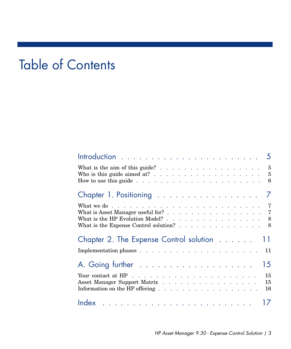# Table of Contents

| Chapter 1. Positioning 7                                                                                                                                                                                                    |                |
|-----------------------------------------------------------------------------------------------------------------------------------------------------------------------------------------------------------------------------|----------------|
| What is Asset Manager useful for? 7<br>What is the HP Evolution Model? 8<br>What is the Expense Control solution? 8                                                                                                         |                |
| Chapter 2. The Expense Control solution 11                                                                                                                                                                                  |                |
|                                                                                                                                                                                                                             |                |
|                                                                                                                                                                                                                             | 15             |
| Your contact at HP $\ldots$ $\ldots$ $\ldots$ $\ldots$ $\ldots$ $\ldots$ $\ldots$ $\ldots$<br>Asset Manager Support Matrix<br>Information on the HP offering $\ldots$ $\ldots$ $\ldots$ $\ldots$ $\ldots$ $\ldots$ $\ldots$ | 15<br>15<br>16 |
|                                                                                                                                                                                                                             |                |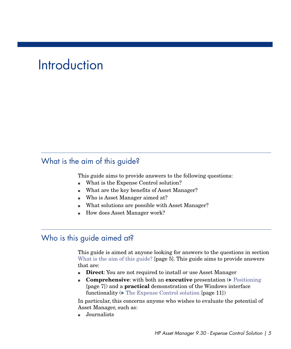# **Introduction**

## <span id="page-4-0"></span>What is the aim of this guide?

This guide aims to provide answers to the following questions:

- What is the Expense Control solution?
- What are the key benefits of Asset Manager?
- <span id="page-4-1"></span>■ Who is Asset Manager aimed at?
- What solutions are possible with Asset Manager?
- How does Asset Manager work?

### Who is this guide aimed at?

This guide is aimed at anyone looking for answers to the questions in section [What is the aim of this guide?](#page-4-0) [page 5]. This guide aims to provide answers that are:

- **Direct:** You are not required to install or use Asset Manager
- **n Comprehensive**: with both an **executive** presentation (**[Positioning](#page-6-0)**) [page 7]) and a **practical** demonstration of the Windows interface functionality  $(\triangleright$  [The Expense Control solution](#page-10-0) [page 11])

In particular, this concerns anyone who wishes to evaluate the potential of Asset Manager, such as:

<sup>n</sup> Journalists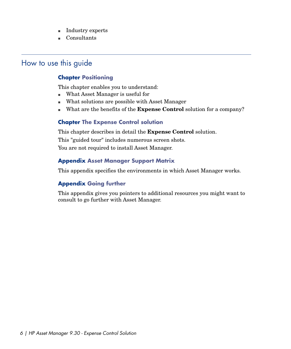- Industry experts
- <span id="page-5-0"></span><sup>n</sup> Consultants

## How to use this guide

#### **Chapter [Positioning](#page-6-0)**

This chapter enables you to understand:

- What Asset Manager is useful for
- $\blacksquare$  What solutions are possible with Asset Manager
- <sup>n</sup> What are the benefits of the **Expense Control** solution for a company?

#### **Chapter [The Expense Control solution](#page-10-0)**

This chapter describes in detail the **Expense Control** solution. This "guided tour" includes numerous screen shots. You are not required to install Asset Manager.

### **Appendix [Asset Manager Support Matrix](#page-14-2)**

This appendix specifies the environments in which Asset Manager works.

### **Appendix [Going further](#page-14-0)**

This appendix gives you pointers to additional resources you might want to consult to go further with Asset Manager.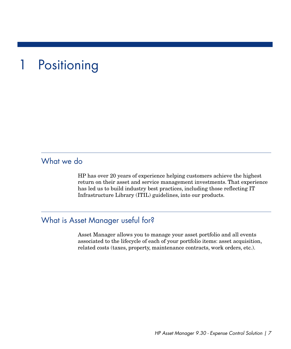# 1 Positioning

## <span id="page-6-0"></span>What we do

<span id="page-6-1"></span>HP has over 20 years of experience helping customers achieve the highest return on their asset and service management investments. That experience has led us to build industry best practices, including those reflecting IT Infrastructure Library (ITIL) guidelines, into our products.

## What is Asset Manager useful for?

Asset Manager allows you to manage your asset portfolio and all events associated to the lifecycle of each of your portfolio items: asset acquisition, related costs (taxes, property, maintenance contracts, work orders, etc.).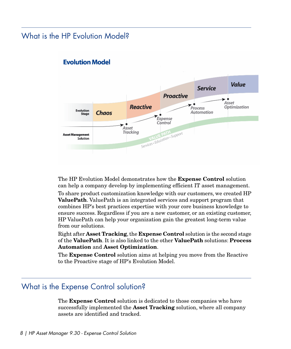## <span id="page-7-0"></span>What is the HP Evolution Model?



### **Evolution Model**

The HP Evolution Model demonstrates how the **Expense Control** solution can help a company develop by implementing efficient IT asset management.

To share product customization knowledge with our customers, we created HP **ValuePath**. ValuePath is an integrated services and support program that combines HP's best practices expertise with your core business knowledge to ensure success. Regardless if you are a new customer, or an existing customer, HP ValuePath can help your organization gain the greatest long-term value from our solutions.

<span id="page-7-1"></span>Right after **Asset Tracking**, the **Expense Control** solution is the second stage of the **ValuePath**. It is also linked to the other **ValuePath** solutions: **Process Automation** and **Asset Optimization**.

The **Expense Control** solution aims at helping you move from the Reactive to the Proactive stage of HP's Evolution Model.

## What is the Expense Control solution?

The **Expense Control** solution is dedicated to those companies who have successfully implemented the **Asset Tracking** solution, where all company assets are identified and tracked.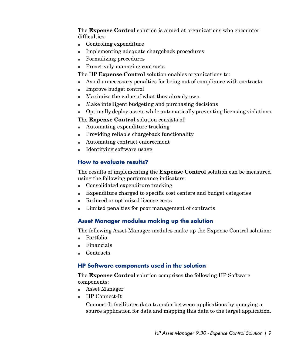The **Expense Control** solution is aimed at organizations who encounter difficulties:

- $\blacksquare$  Controling expenditure
- <sup>n</sup> Implementing adequate chargeback procedures
- Formalizing procedures
- Proactively managing contracts

The HP **Expense Control** solution enables organizations to:

- <sup>n</sup> Avoid unnecessary penalties for being out of compliance with contracts
- Improve budget control
- <sup>n</sup> Maximize the value of what they already own
- $\blacksquare$  Make intelligent budgeting and purchasing decisions
- $\Box$  Optimally deploy assets while automatically preventing licensing violations

The **Expense Control** solution consists of:

- $\blacksquare$  Automating expenditure tracking
- n Providing reliable chargeback functionality
- <sup>n</sup> Automating contract enforcement
- $\blacksquare$  Identifying software usage

#### **How to evaluate results?**

The results of implementing the **Expense Control** solution can be measured using the following performance indicators:

- <sup>n</sup> Consolidated expenditure tracking
- <sup>n</sup> Expenditure charged to specific cost centers and budget categories
- <sup>n</sup> Reduced or optimized license costs
- <sup>n</sup> Limited penalties for poor management of contracts

#### **Asset Manager modules making up the solution**

The following Asset Manager modules make up the Expense Control solution:

- n Portfolio
- <sup>n</sup> Financials
- **Contracts**

#### **HP Software components used in the solution**

The **Expense Control** solution comprises the following HP Software components:

- <sup>n</sup> Asset Manager
- <sup>n</sup> HP Connect-It

Connect-It facilitates data transfer between applications by querying a source application for data and mapping this data to the target application.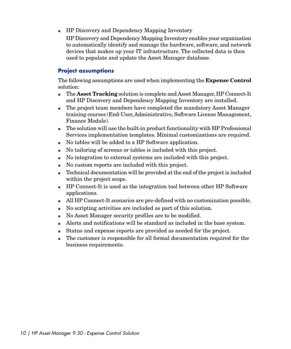**FIP Discovery and Dependency Mapping Inventory** 

HP Discovery and Dependency Mapping Inventory enables your organization to automatically identify and manage the hardware, software, and network devices that makes up your IT infrastructure. The collected data is then used to populate and update the Asset Manager database.

#### **Project assumptions**

The following assumptions are used when implementing the **Expense Control** solution:

- n The **Asset Tracking** solution is complete and Asset Manager, HP Connect-It and HP Discovery and Dependency Mapping Inventory are installed.
- n The project team members have completed the mandatory Asset Manager training courses (End-User,Administrative, Software License Management, Finance Module).
- $\blacksquare$  The solution will use the built-in product functionality with HP Professional Services implementation templates. Minimal customizations are required.
- <sup>n</sup> No tables will be added to a HP Software application.
- <sup>n</sup> No tailoring of screens or tables is included with this project.
- <sup>n</sup> No integration to external systems are included with this project.
- $\blacksquare$  No custom reports are included with this project.
- n Technical documentation will be provided at the end of the project is included within the project scope.
- <sup>n</sup> HP Connect-It is used as the integration tool between other HP Software applications.
- $\blacksquare$  All HP Connect-It scenarios are pre-defined with no customization possible.
- <sup>n</sup> No scripting activities are included as part of this solution.
- <sup>n</sup> No Asset Manager security profiles are to be modified.
- $\blacksquare$  Alerts and notifications will be standard as included in the base system.
- <sup>n</sup> Status and expense reports are provided as needed for the project.
- $\blacksquare$  The customer is responsible for all formal documentation required for the business requirements.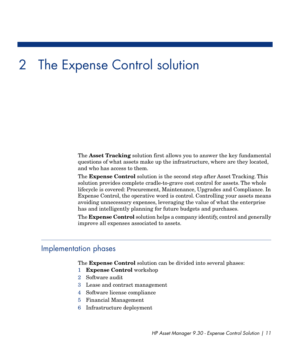# 2 The Expense Control solution

<span id="page-10-0"></span>The **Asset Tracking** solution first allows you to answer the key fundamental questions of what assets make up the infrastructure, where are they located, and who has access to them.

The **Expense Control** solution is the second step after Asset Tracking. This solution provides complete cradle-to-grave cost control for assets. The whole lifecycle is covered: Procurement, Maintenance, Upgrades and Compliance. In Expense Control, the operative word is control. Controlling your assets means avoiding unnecessary expenses, leveraging the value of what the enterprise has and intelligently planning for future budgets and purchases.

<span id="page-10-1"></span>The **Expense Control** solution helps a company identify, control and generally improve all expenses associated to assets.

### Implementation phases

The **Expense Control** solution can be divided into several phases:

- 1 **Expense Control** workshop
- 2 Software audit
- 3 Lease and contract management
- 4 Software license compliance
- 5 Financial Management
- 6 Infrastructure deployment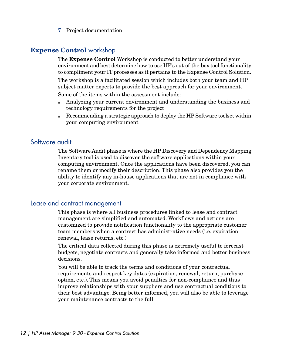7 Project documentation

#### **Expense Control** workshop

The **Expense Control** Workshop is conducted to better understand your environment and best determine how to use HP's out-of-the-box tool functionality to compliment your IT processes as it pertains to the Expense Control Solution.

The workshop is a facilitated session which includes both your team and HP subject matter experts to provide the best approach for your environment.

Some of the items within the assessment include:

- n Analyzing your current environment and understanding the business and technology requirements for the project
- <sup>n</sup> Recommending a strategic approach to deploy the HP Software toolset within your computing environment

### Software audit

The Software Audit phase is where the HP Discovery and Dependency Mapping Inventory tool is used to discover the software applications within your computing environment. Once the applications have been discovered, you can rename them or modify their description. This phase also provides you the ability to identify any in-house applications that are not in compliance with your corporate environment.

### Lease and contract management

This phase is where all business procedures linked to lease and contract management are simplified and automated. Workflows and actions are customized to provide notification functionality to the appropriate customer team members when a contract has administrative needs (i.e. expiration, renewal, lease returns, etc.)

The critical data collected during this phase is extremely useful to forecast budgets, negotiate contracts and generally take informed and better business decisions.

You will be able to track the terms and conditions of your contractual requirements and respect key dates (expiration, renewal, return, purchase option, etc.). This means you avoid penalties for non-compliance and thus improve relationships with your suppliers and use contractual conditions to their best advantage. Being better informed, you will also be able to leverage your maintenance contracts to the full.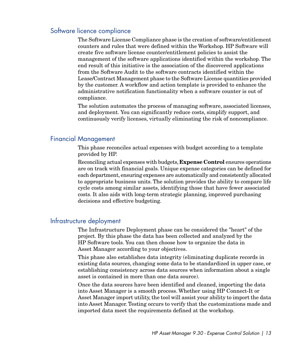#### Software licence compliance

The Software License Compliance phase is the creation of software/entitlement counters and rules that were defined within the Workshop. HP Software will create five software license counter/entitlement policies to assist the management of the software applications identified within the workshop. The end result of this initiative is the association of the discovered applications from the Software Audit to the software contracts identified within the Lease/Contract Management phase to the Software License quantities provided by the customer. A workflow and action template is provided to enhance the administrative notification functionality when a software counter is out of compliance.

The solution automates the process of managing software, associated licenses, and deployment. You can significantly reduce costs, simplify support, and continuously verify licenses, virtually eliminating the risk of noncompliance.

### Financial Management

This phase reconciles actual expenses with budget according to a template provided by HP.

Reconciling actual expenses with budgets, **Expense Control** ensures operations are on track with financial goals. Unique expense categories can be defined for each department, ensuring expenses are automatically and consistently allocated to appropriate business units. The solution provides the ability to compare life cycle costs among similar assets, identifying those that have fewer associated costs. It also aids with long-term strategic planning, improved purchasing decisions and effective budgeting.

#### Infrastructure deployment

The Infrastructure Deployment phase can be considered the "heart" of the project. By this phase the data has been collected and analyzed by the HP Software tools. You can then choose how to organize the data in Asset Manager according to your objectives.

This phase also establishes data integrity (eliminating duplicate records in existing data sources, changing some data to be standardized in upper case, or establishing consistency across data sources when information about a single asset is contained in more than one data source).

Once the data sources have been identified and cleaned, importing the data into Asset Manager is a smooth process. Whether using HP Connect-It or Asset Manager import utility, the tool will assist your ability to import the data into Asset Manager. Testing occurs to verify that the customizations made and imported data meet the requirements defined at the workshop.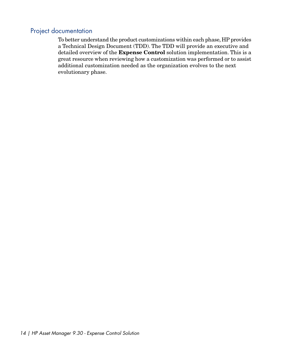### Project documentation

To better understand the product customizations within each phase, HP provides a Technical Design Document (TDD). The TDD will provide an executive and detailed overview of the **Expense Control** solution implementation. This is a great resource when reviewing how a customization was performed or to assist additional customization needed as the organization evolves to the next evolutionary phase.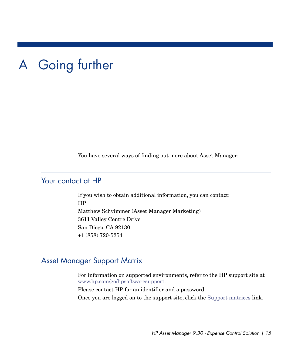# A Going further

<span id="page-14-1"></span><span id="page-14-0"></span>You have several ways of finding out more about Asset Manager:

## Your contact at HP

<span id="page-14-2"></span>If you wish to obtain additional information, you can contact: HP Matthew Schvimmer (Asset Manager Marketing) 3611 Valley Centre Drive San Diego, CA 92130 +1 (858) 720-5254

## Asset Manager Support Matrix

For information on supported environments, refer to the HP support site at [www.hp.com/go/hpsoftwaresupport.](www.hp.com/go/hpsoftwaresupport)

Please contact HP for an identifier and a password.

Once you are logged on to the support site, click the<Support matrices> link.